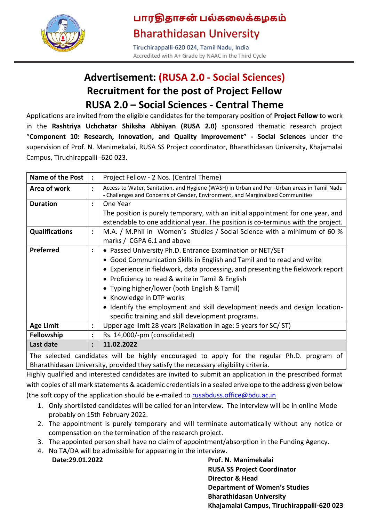

# பாரதிதாசன் பல்கலைக்கழகம் **Bharathidasan University**

Tiruchirappalli-620 024, Tamil Nadu, India Accredited with A+ Grade by NAAC in the Third Cycle

## **Advertisement: (RUSA 2.0 - Social Sciences) Recruitment for the post of Project Fellow RUSA 2.0 – Social Sciences - Central Theme**

Applications are invited from the eligible candidates for the temporary position of **Project Fellow** to work in the **Rashtriya Uchchatar Shiksha Abhiyan (RUSA 2.0)** sponsored thematic research project "**Component 10: Research, Innovation, and Quality Improvement" - Social Sciences** under the supervision of Prof. N. Manimekalai, RUSA SS Project coordinator, Bharathidasan University, Khajamalai Campus, Tiruchirappalli -620 023.

| <b>Name of the Post</b> | $\ddot{\phantom{a}}$ | Project Fellow - 2 Nos. (Central Theme)                                                                                                                                       |
|-------------------------|----------------------|-------------------------------------------------------------------------------------------------------------------------------------------------------------------------------|
| Area of work            | $\ddot{\phantom{a}}$ | Access to Water, Sanitation, and Hygiene (WASH) in Urban and Peri-Urban areas in Tamil Nadu<br>- Challenges and Concerns of Gender, Environment, and Marginalized Communities |
| <b>Duration</b>         | $\ddot{\phantom{a}}$ | One Year                                                                                                                                                                      |
|                         |                      | The position is purely temporary, with an initial appointment for one year, and                                                                                               |
|                         |                      | extendable to one additional year. The position is co-terminus with the project.                                                                                              |
| <b>Qualifications</b>   | $\ddot{\phantom{a}}$ | M.A. / M.Phil in Women's Studies / Social Science with a minimum of 60 %                                                                                                      |
|                         |                      | marks / CGPA 6.1 and above                                                                                                                                                    |
| Preferred               | ፡                    | • Passed University Ph.D. Entrance Examination or NET/SET                                                                                                                     |
|                         |                      | • Good Communication Skills in English and Tamil and to read and write                                                                                                        |
|                         |                      | • Experience in fieldwork, data processing, and presenting the fieldwork report                                                                                               |
|                         |                      | • Proficiency to read & write in Tamil & English                                                                                                                              |
|                         |                      | • Typing higher/lower (both English & Tamil)                                                                                                                                  |
|                         |                      | • Knowledge in DTP works                                                                                                                                                      |
|                         |                      | • Identify the employment and skill development needs and design location-                                                                                                    |
|                         |                      | specific training and skill development programs.                                                                                                                             |
| <b>Age Limit</b>        | $\ddot{\cdot}$       | Upper age limit 28 years (Relaxation in age: 5 years for SC/ST)                                                                                                               |
| Fellowship              | ٠                    | Rs. 14,000/-pm (consolidated)                                                                                                                                                 |
| Last date               | $\ddot{\cdot}$       | 11.02.2022                                                                                                                                                                    |

The selected candidates will be highly encouraged to apply for the regular Ph.D. program of Bharathidasan University, provided they satisfy the necessary eligibility criteria.

Highly qualified and interested candidates are invited to submit an application in the prescribed format with copies of all mark statements & academic credentials in a sealed envelope to the address given below (the soft copy of the application should be e-mailed to [rusabduss.office@bdu.ac.in](mailto:rusabduss.office@bdu.ac.in)

- 1. Only shortlisted candidates will be called for an interview. The Interview will be in online Mode probably on 15th February 2022.
- 2. The appointment is purely temporary and will terminate automatically without any notice or compensation on the termination of the research project.
- 3. The appointed person shall have no claim of appointment/absorption in the Funding Agency.
- 4. No TA/DA will be admissible for appearing in the interview.

**Date:29.01.2022 Prof. N. Manimekalai RUSA SS Project Coordinator Director & Head Department of Women's Studies Bharathidasan University Khajamalai Campus, Tiruchirappalli-620 023**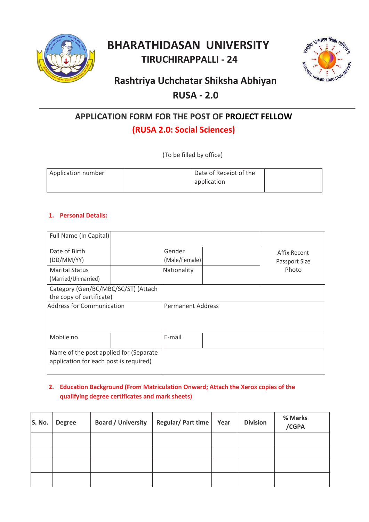

# **BHARATHIDASAN UNIVERSITY TIRUCHIRAPPALLI - 24**



# **Rashtriya Uchchatar Shiksha Abhiyan RUSA - 2.0**

### **APPLICATION FORM FOR THE POST OF PROJECT FELLOW**

### **(RUSA 2.0: Social Sciences)**

(To be filled by office)

| Application number | Date of Receipt of the<br>application |  |
|--------------------|---------------------------------------|--|
|                    |                                       |  |

### **1. Personal Details:**

| Full Name (In Capital)                                                           |  |                          |                               |
|----------------------------------------------------------------------------------|--|--------------------------|-------------------------------|
| Date of Birth<br>(DD/MM/YY)                                                      |  | Gender<br>(Male/Female)  | Affix Recent<br>Passport Size |
| <b>Marital Status</b><br>(Married/Unmarried)                                     |  | Nationality              | Photo                         |
| Category (Gen/BC/MBC/SC/ST) (Attach<br>the copy of certificate)                  |  |                          |                               |
| Address for Communication                                                        |  | <b>Permanent Address</b> |                               |
| Mobile no.                                                                       |  | E-mail                   |                               |
| Name of the post applied for (Separate<br>application for each post is required) |  |                          |                               |

### **2. Education Background (From Matriculation Onward; Attach the Xerox copies of the qualifying degree certificates and mark sheets)**

| S. No. | <b>Degree</b> | <b>Board / University</b> | Regular/ Part time | Year | <b>Division</b> | % Marks<br>/CGPA |
|--------|---------------|---------------------------|--------------------|------|-----------------|------------------|
|        |               |                           |                    |      |                 |                  |
|        |               |                           |                    |      |                 |                  |
|        |               |                           |                    |      |                 |                  |
|        |               |                           |                    |      |                 |                  |